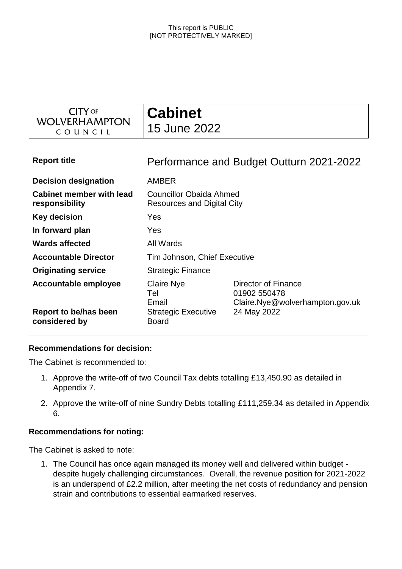| <b>CITY OF</b><br>WOLVERHAMPTON<br>COUNCIL        | <b>Cabinet</b><br>15 June 2022                                      |                                                                                       |  |
|---------------------------------------------------|---------------------------------------------------------------------|---------------------------------------------------------------------------------------|--|
| <b>Report title</b>                               |                                                                     | Performance and Budget Outturn 2021-2022                                              |  |
| <b>Decision designation</b>                       | <b>AMBER</b>                                                        |                                                                                       |  |
| <b>Cabinet member with lead</b><br>responsibility | <b>Councillor Obaida Ahmed</b><br><b>Resources and Digital City</b> |                                                                                       |  |
| <b>Key decision</b>                               | Yes                                                                 |                                                                                       |  |
| In forward plan                                   | Yes                                                                 |                                                                                       |  |
| <b>Wards affected</b>                             | All Wards                                                           |                                                                                       |  |
| <b>Accountable Director</b>                       | Tim Johnson, Chief Executive                                        |                                                                                       |  |
| <b>Originating service</b>                        | <b>Strategic Finance</b>                                            |                                                                                       |  |
| Accountable employee<br>Report to be/has been     | <b>Claire Nye</b><br>Tel<br>Email<br><b>Strategic Executive</b>     | Director of Finance<br>01902 550478<br>Claire.Nye@wolverhampton.gov.uk<br>24 May 2022 |  |
| considered by                                     | <b>Board</b>                                                        |                                                                                       |  |

### **Recommendations for decision:**

The Cabinet is recommended to:

- 1. Approve the write-off of two Council Tax debts totalling £13,450.90 as detailed in Appendix 7.
- 2. Approve the write-off of nine Sundry Debts totalling £111,259.34 as detailed in Appendix 6.

### **Recommendations for noting:**

The Cabinet is asked to note:

1. The Council has once again managed its money well and delivered within budget despite hugely challenging circumstances. Overall, the revenue position for 2021-2022 is an underspend of £2.2 million, after meeting the net costs of redundancy and pension strain and contributions to essential earmarked reserves.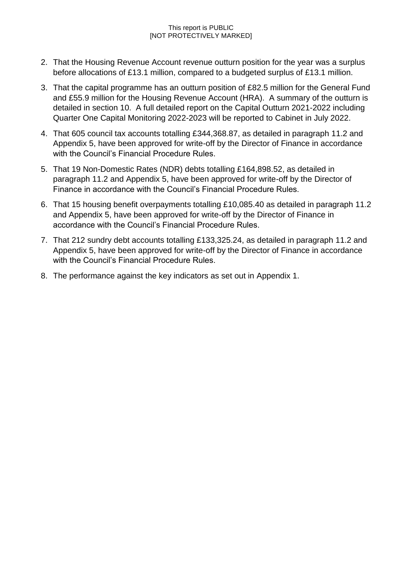- 2. That the Housing Revenue Account revenue outturn position for the year was a surplus before allocations of £13.1 million, compared to a budgeted surplus of £13.1 million.
- 3. That the capital programme has an outturn position of £82.5 million for the General Fund and £55.9 million for the Housing Revenue Account (HRA). A summary of the outturn is detailed in section 10. A full detailed report on the Capital Outturn 2021-2022 including Quarter One Capital Monitoring 2022-2023 will be reported to Cabinet in July 2022.
- 4. That 605 council tax accounts totalling £344,368.87, as detailed in paragraph 11.2 and Appendix 5, have been approved for write-off by the Director of Finance in accordance with the Council's Financial Procedure Rules.
- 5. That 19 Non-Domestic Rates (NDR) debts totalling £164,898.52, as detailed in paragraph 11.2 and Appendix 5, have been approved for write-off by the Director of Finance in accordance with the Council's Financial Procedure Rules.
- 6. That 15 housing benefit overpayments totalling £10,085.40 as detailed in paragraph 11.2 and Appendix 5, have been approved for write-off by the Director of Finance in accordance with the Council's Financial Procedure Rules.
- 7. That 212 sundry debt accounts totalling £133,325.24, as detailed in paragraph 11.2 and Appendix 5, have been approved for write-off by the Director of Finance in accordance with the Council's Financial Procedure Rules.
- 8. The performance against the key indicators as set out in Appendix 1.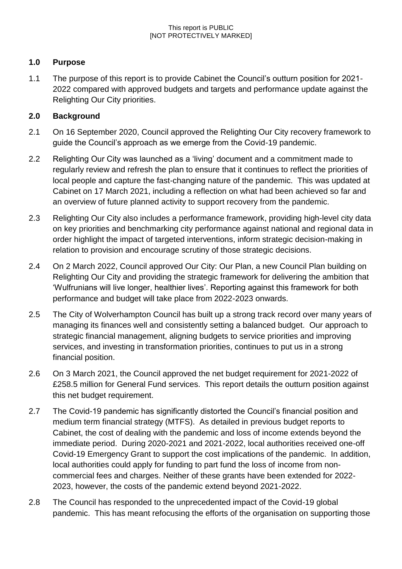## **1.0 Purpose**

1.1 The purpose of this report is to provide Cabinet the Council's outturn position for 2021- 2022 compared with approved budgets and targets and performance update against the Relighting Our City priorities.

### **2.0 Background**

- 2.1 On 16 September 2020, Council approved the Relighting Our City recovery framework to guide the Council's approach as we emerge from the Covid-19 pandemic.
- 2.2 Relighting Our City was launched as a 'living' document and a commitment made to regularly review and refresh the plan to ensure that it continues to reflect the priorities of local people and capture the fast-changing nature of the pandemic. This was updated at Cabinet on 17 March 2021, including a reflection on what had been achieved so far and an overview of future planned activity to support recovery from the pandemic.
- 2.3 Relighting Our City also includes a performance framework, providing high-level city data on key priorities and benchmarking city performance against national and regional data in order highlight the impact of targeted interventions, inform strategic decision-making in relation to provision and encourage scrutiny of those strategic decisions.
- 2.4 On 2 March 2022, Council approved Our City: Our Plan, a new Council Plan building on Relighting Our City and providing the strategic framework for delivering the ambition that 'Wulfrunians will live longer, healthier lives'. Reporting against this framework for both performance and budget will take place from 2022-2023 onwards.
- 2.5 The City of Wolverhampton Council has built up a strong track record over many years of managing its finances well and consistently setting a balanced budget. Our approach to strategic financial management, aligning budgets to service priorities and improving services, and investing in transformation priorities, continues to put us in a strong financial position.
- 2.6 On 3 March 2021, the Council approved the net budget requirement for 2021-2022 of £258.5 million for General Fund services. This report details the outturn position against this net budget requirement.
- 2.7 The Covid-19 pandemic has significantly distorted the Council's financial position and medium term financial strategy (MTFS). As detailed in previous budget reports to Cabinet, the cost of dealing with the pandemic and loss of income extends beyond the immediate period. During 2020-2021 and 2021-2022, local authorities received one-off Covid-19 Emergency Grant to support the cost implications of the pandemic. In addition, local authorities could apply for funding to part fund the loss of income from noncommercial fees and charges. Neither of these grants have been extended for 2022- 2023, however, the costs of the pandemic extend beyond 2021-2022.
- 2.8 The Council has responded to the unprecedented impact of the Covid-19 global pandemic. This has meant refocusing the efforts of the organisation on supporting those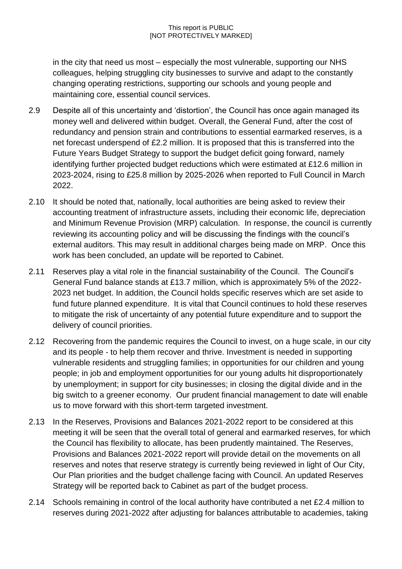in the city that need us most – especially the most vulnerable, supporting our NHS colleagues, helping struggling city businesses to survive and adapt to the constantly changing operating restrictions, supporting our schools and young people and maintaining core, essential council services.

- 2.9 Despite all of this uncertainty and 'distortion', the Council has once again managed its money well and delivered within budget. Overall, the General Fund, after the cost of redundancy and pension strain and contributions to essential earmarked reserves, is a net forecast underspend of £2.2 million. It is proposed that this is transferred into the Future Years Budget Strategy to support the budget deficit going forward, namely identifying further projected budget reductions which were estimated at £12.6 million in 2023-2024, rising to £25.8 million by 2025-2026 when reported to Full Council in March 2022.
- 2.10 It should be noted that, nationally, local authorities are being asked to review their accounting treatment of infrastructure assets, including their economic life, depreciation and Minimum Revenue Provision (MRP) calculation. In response, the council is currently reviewing its accounting policy and will be discussing the findings with the council's external auditors. This may result in additional charges being made on MRP. Once this work has been concluded, an update will be reported to Cabinet.
- 2.11 Reserves play a vital role in the financial sustainability of the Council. The Council's General Fund balance stands at £13.7 million, which is approximately 5% of the 2022- 2023 net budget. In addition, the Council holds specific reserves which are set aside to fund future planned expenditure. It is vital that Council continues to hold these reserves to mitigate the risk of uncertainty of any potential future expenditure and to support the delivery of council priorities.
- 2.12 Recovering from the pandemic requires the Council to invest, on a huge scale, in our city and its people - to help them recover and thrive. Investment is needed in supporting vulnerable residents and struggling families; in opportunities for our children and young people; in job and employment opportunities for our young adults hit disproportionately by unemployment; in support for city businesses; in closing the digital divide and in the big switch to a greener economy. Our prudent financial management to date will enable us to move forward with this short-term targeted investment.
- 2.13 In the Reserves, Provisions and Balances 2021-2022 report to be considered at this meeting it will be seen that the overall total of general and earmarked reserves, for which the Council has flexibility to allocate, has been prudently maintained. The Reserves, Provisions and Balances 2021-2022 report will provide detail on the movements on all reserves and notes that reserve strategy is currently being reviewed in light of Our City, Our Plan priorities and the budget challenge facing with Council. An updated Reserves Strategy will be reported back to Cabinet as part of the budget process.
- 2.14 Schools remaining in control of the local authority have contributed a net £2.4 million to reserves during 2021-2022 after adjusting for balances attributable to academies, taking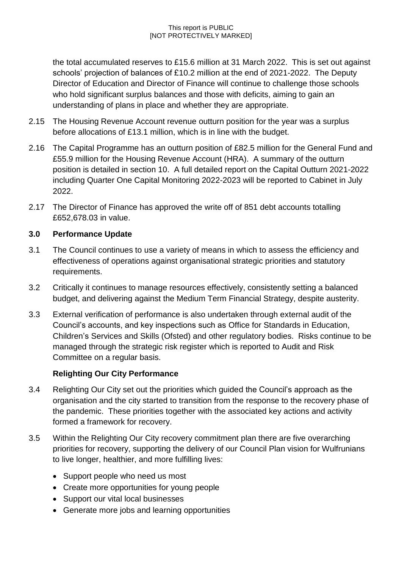the total accumulated reserves to £15.6 million at 31 March 2022. This is set out against schools' projection of balances of £10.2 million at the end of 2021-2022. The Deputy Director of Education and Director of Finance will continue to challenge those schools who hold significant surplus balances and those with deficits, aiming to gain an understanding of plans in place and whether they are appropriate.

- 2.15 The Housing Revenue Account revenue outturn position for the year was a surplus before allocations of £13.1 million, which is in line with the budget.
- 2.16 The Capital Programme has an outturn position of £82.5 million for the General Fund and £55.9 million for the Housing Revenue Account (HRA). A summary of the outturn position is detailed in section 10. A full detailed report on the Capital Outturn 2021-2022 including Quarter One Capital Monitoring 2022-2023 will be reported to Cabinet in July 2022.
- 2.17 The Director of Finance has approved the write off of 851 debt accounts totalling £652,678.03 in value.

## **3.0 Performance Update**

- 3.1 The Council continues to use a variety of means in which to assess the efficiency and effectiveness of operations against organisational strategic priorities and statutory requirements.
- 3.2 Critically it continues to manage resources effectively, consistently setting a balanced budget, and delivering against the Medium Term Financial Strategy, despite austerity.
- 3.3 External verification of performance is also undertaken through external audit of the Council's accounts, and key inspections such as Office for Standards in Education, Children's Services and Skills (Ofsted) and other regulatory bodies. Risks continue to be managed through the strategic risk register which is reported to Audit and Risk Committee on a regular basis.

## **Relighting Our City Performance**

- 3.4 Relighting Our City set out the priorities which guided the Council's approach as the organisation and the city started to transition from the response to the recovery phase of the pandemic. These priorities together with the associated key actions and activity formed a framework for recovery.
- 3.5 Within the Relighting Our City recovery commitment plan there are five overarching priorities for recovery, supporting the delivery of our Council Plan vision for Wulfrunians to live longer, healthier, and more fulfilling lives:
	- Support people who need us most
	- Create more opportunities for young people
	- Support our vital local businesses
	- Generate more jobs and learning opportunities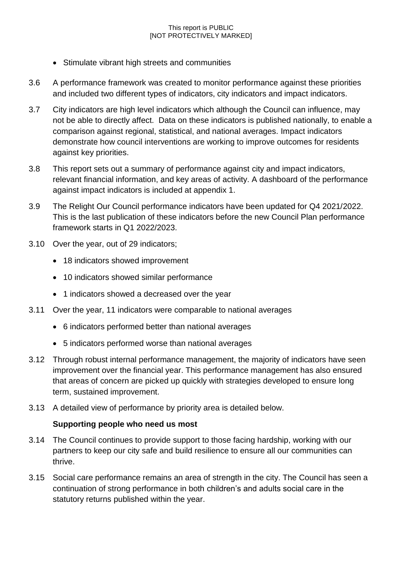- Stimulate vibrant high streets and communities
- 3.6 A performance framework was created to monitor performance against these priorities and included two different types of indicators, city indicators and impact indicators.
- 3.7 City indicators are high level indicators which although the Council can influence, may not be able to directly affect. Data on these indicators is published nationally, to enable a comparison against regional, statistical, and national averages. Impact indicators demonstrate how council interventions are working to improve outcomes for residents against key priorities.
- 3.8 This report sets out a summary of performance against city and impact indicators, relevant financial information, and key areas of activity. A dashboard of the performance against impact indicators is included at appendix 1.
- 3.9 The Relight Our Council performance indicators have been updated for Q4 2021/2022. This is the last publication of these indicators before the new Council Plan performance framework starts in Q1 2022/2023.
- 3.10 Over the year, out of 29 indicators;
	- 18 indicators showed improvement
	- 10 indicators showed similar performance
	- 1 indicators showed a decreased over the year
- 3.11 Over the year, 11 indicators were comparable to national averages
	- 6 indicators performed better than national averages
	- 5 indicators performed worse than national averages
- 3.12 Through robust internal performance management, the majority of indicators have seen improvement over the financial year. This performance management has also ensured that areas of concern are picked up quickly with strategies developed to ensure long term, sustained improvement.
- 3.13 A detailed view of performance by priority area is detailed below.

## **Supporting people who need us most**

- 3.14 The Council continues to provide support to those facing hardship, working with our partners to keep our city safe and build resilience to ensure all our communities can thrive.
- 3.15 Social care performance remains an area of strength in the city. The Council has seen a continuation of strong performance in both children's and adults social care in the statutory returns published within the year.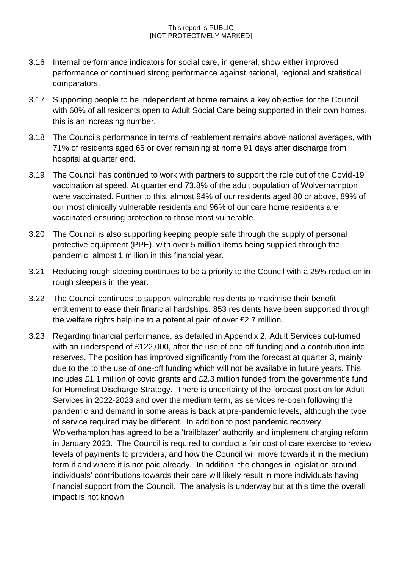- 3.16 Internal performance indicators for social care, in general, show either improved performance or continued strong performance against national, regional and statistical comparators.
- 3.17 Supporting people to be independent at home remains a key objective for the Council with 60% of all residents open to Adult Social Care being supported in their own homes, this is an increasing number.
- 3.18 The Councils performance in terms of reablement remains above national averages, with 71% of residents aged 65 or over remaining at home 91 days after discharge from hospital at quarter end.
- 3.19 The Council has continued to work with partners to support the role out of the Covid-19 vaccination at speed. At quarter end 73.8% of the adult population of Wolverhampton were vaccinated. Further to this, almost 94% of our residents aged 80 or above, 89% of our most clinically vulnerable residents and 96% of our care home residents are vaccinated ensuring protection to those most vulnerable.
- 3.20 The Council is also supporting keeping people safe through the supply of personal protective equipment (PPE), with over 5 million items being supplied through the pandemic, almost 1 million in this financial year.
- 3.21 Reducing rough sleeping continues to be a priority to the Council with a 25% reduction in rough sleepers in the year.
- 3.22 The Council continues to support vulnerable residents to maximise their benefit entitlement to ease their financial hardships. 853 residents have been supported through the welfare rights helpline to a potential gain of over £2.7 million.
- 3.23 Regarding financial performance, as detailed in Appendix 2, Adult Services out-turned with an underspend of £122,000, after the use of one off funding and a contribution into reserves. The position has improved significantly from the forecast at quarter 3, mainly due to the to the use of one-off funding which will not be available in future years. This includes £1.1 million of covid grants and £2.3 million funded from the government's fund for Homefirst Discharge Strategy. There is uncertainty of the forecast position for Adult Services in 2022-2023 and over the medium term, as services re-open following the pandemic and demand in some areas is back at pre-pandemic levels, although the type of service required may be different. In addition to post pandemic recovery, Wolverhampton has agreed to be a 'trailblazer' authority and implement charging reform in January 2023. The Council is required to conduct a fair cost of care exercise to review levels of payments to providers, and how the Council will move towards it in the medium term if and where it is not paid already. In addition, the changes in legislation around individuals' contributions towards their care will likely result in more individuals having financial support from the Council. The analysis is underway but at this time the overall impact is not known.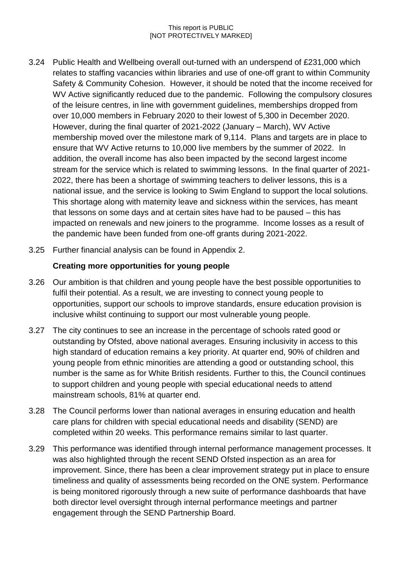- 3.24 Public Health and Wellbeing overall out-turned with an underspend of £231,000 which relates to staffing vacancies within libraries and use of one-off grant to within Community Safety & Community Cohesion. However, it should be noted that the income received for WV Active significantly reduced due to the pandemic. Following the compulsory closures of the leisure centres, in line with government guidelines, memberships dropped from over 10,000 members in February 2020 to their lowest of 5,300 in December 2020. However, during the final quarter of 2021-2022 (January – March), WV Active membership moved over the milestone mark of 9,114. Plans and targets are in place to ensure that WV Active returns to 10,000 live members by the summer of 2022. In addition, the overall income has also been impacted by the second largest income stream for the service which is related to swimming lessons. In the final quarter of 2021- 2022, there has been a shortage of swimming teachers to deliver lessons, this is a national issue, and the service is looking to Swim England to support the local solutions. This shortage along with maternity leave and sickness within the services, has meant that lessons on some days and at certain sites have had to be paused – this has impacted on renewals and new joiners to the programme. Income losses as a result of the pandemic have been funded from one-off grants during 2021-2022.
- 3.25 Further financial analysis can be found in Appendix 2.

### **Creating more opportunities for young people**

- 3.26 Our ambition is that children and young people have the best possible opportunities to fulfil their potential. As a result, we are investing to connect young people to opportunities, support our schools to improve standards, ensure education provision is inclusive whilst continuing to support our most vulnerable young people.
- 3.27 The city continues to see an increase in the percentage of schools rated good or outstanding by Ofsted, above national averages. Ensuring inclusivity in access to this high standard of education remains a key priority. At quarter end, 90% of children and young people from ethnic minorities are attending a good or outstanding school, this number is the same as for White British residents. Further to this, the Council continues to support children and young people with special educational needs to attend mainstream schools, 81% at quarter end.
- 3.28 The Council performs lower than national averages in ensuring education and health care plans for children with special educational needs and disability (SEND) are completed within 20 weeks. This performance remains similar to last quarter.
- 3.29 This performance was identified through internal performance management processes. It was also highlighted through the recent SEND Ofsted inspection as an area for improvement. Since, there has been a clear improvement strategy put in place to ensure timeliness and quality of assessments being recorded on the ONE system. Performance is being monitored rigorously through a new suite of performance dashboards that have both director level oversight through internal performance meetings and partner engagement through the SEND Partnership Board.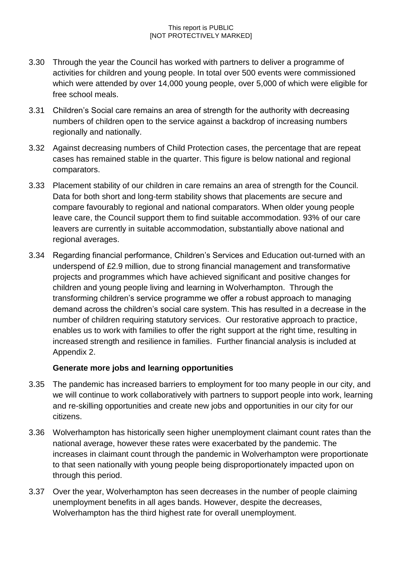- 3.30 Through the year the Council has worked with partners to deliver a programme of activities for children and young people. In total over 500 events were commissioned which were attended by over 14,000 young people, over 5,000 of which were eligible for free school meals.
- 3.31 Children's Social care remains an area of strength for the authority with decreasing numbers of children open to the service against a backdrop of increasing numbers regionally and nationally.
- 3.32 Against decreasing numbers of Child Protection cases, the percentage that are repeat cases has remained stable in the quarter. This figure is below national and regional comparators.
- 3.33 Placement stability of our children in care remains an area of strength for the Council. Data for both short and long-term stability shows that placements are secure and compare favourably to regional and national comparators. When older young people leave care, the Council support them to find suitable accommodation. 93% of our care leavers are currently in suitable accommodation, substantially above national and regional averages.
- 3.34 Regarding financial performance, Children's Services and Education out-turned with an underspend of £2.9 million, due to strong financial management and transformative projects and programmes which have achieved significant and positive changes for children and young people living and learning in Wolverhampton. Through the transforming children's service programme we offer a robust approach to managing demand across the children's social care system. This has resulted in a decrease in the number of children requiring statutory services. Our restorative approach to practice, enables us to work with families to offer the right support at the right time, resulting in increased strength and resilience in families. Further financial analysis is included at Appendix 2.

### **Generate more jobs and learning opportunities**

- 3.35 The pandemic has increased barriers to employment for too many people in our city, and we will continue to work collaboratively with partners to support people into work, learning and re-skilling opportunities and create new jobs and opportunities in our city for our citizens.
- 3.36 Wolverhampton has historically seen higher unemployment claimant count rates than the national average, however these rates were exacerbated by the pandemic. The increases in claimant count through the pandemic in Wolverhampton were proportionate to that seen nationally with young people being disproportionately impacted upon on through this period.
- 3.37 Over the year, Wolverhampton has seen decreases in the number of people claiming unemployment benefits in all ages bands. However, despite the decreases, Wolverhampton has the third highest rate for overall unemployment.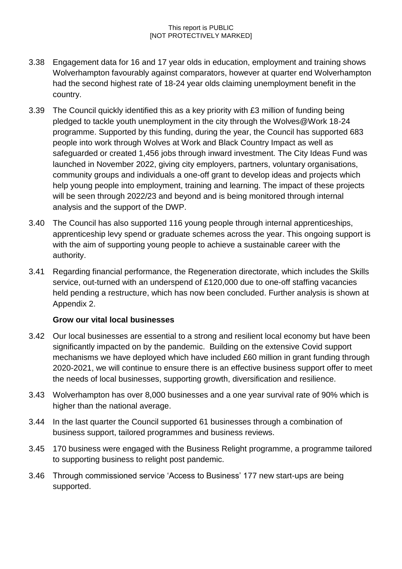- 3.38 Engagement data for 16 and 17 year olds in education, employment and training shows Wolverhampton favourably against comparators, however at quarter end Wolverhampton had the second highest rate of 18-24 year olds claiming unemployment benefit in the country.
- 3.39 The Council quickly identified this as a key priority with £3 million of funding being pledged to tackle youth unemployment in the city through the Wolves@Work 18-24 programme. Supported by this funding, during the year, the Council has supported 683 people into work through Wolves at Work and Black Country Impact as well as safeguarded or created 1,456 jobs through inward investment. The City Ideas Fund was launched in November 2022, giving city employers, partners, voluntary organisations, community groups and individuals a one-off grant to develop ideas and projects which help young people into employment, training and learning. The impact of these projects will be seen through 2022/23 and beyond and is being monitored through internal analysis and the support of the DWP.
- 3.40 The Council has also supported 116 young people through internal apprenticeships, apprenticeship levy spend or graduate schemes across the year. This ongoing support is with the aim of supporting young people to achieve a sustainable career with the authority.
- 3.41 Regarding financial performance, the Regeneration directorate, which includes the Skills service, out-turned with an underspend of £120,000 due to one-off staffing vacancies held pending a restructure, which has now been concluded. Further analysis is shown at Appendix 2.

## **Grow our vital local businesses**

- 3.42 Our local businesses are essential to a strong and resilient local economy but have been significantly impacted on by the pandemic. Building on the extensive Covid support mechanisms we have deployed which have included £60 million in grant funding through 2020-2021, we will continue to ensure there is an effective business support offer to meet the needs of local businesses, supporting growth, diversification and resilience.
- 3.43 Wolverhampton has over 8,000 businesses and a one year survival rate of 90% which is higher than the national average.
- 3.44 In the last quarter the Council supported 61 businesses through a combination of business support, tailored programmes and business reviews.
- 3.45 170 business were engaged with the Business Relight programme, a programme tailored to supporting business to relight post pandemic.
- 3.46 Through commissioned service 'Access to Business' 177 new start-ups are being supported.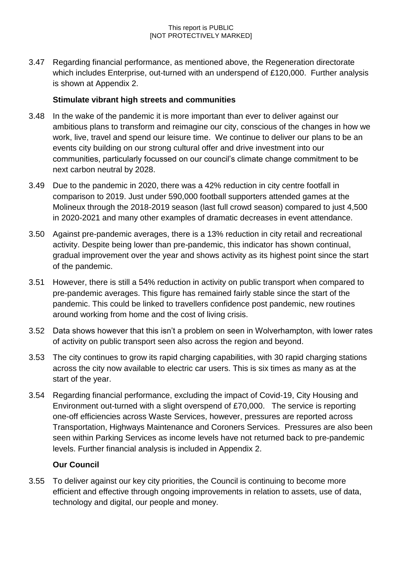3.47 Regarding financial performance, as mentioned above, the Regeneration directorate which includes Enterprise, out-turned with an underspend of £120,000. Further analysis is shown at Appendix 2.

### **Stimulate vibrant high streets and communities**

- 3.48 In the wake of the pandemic it is more important than ever to deliver against our ambitious plans to transform and reimagine our city, conscious of the changes in how we work, live, travel and spend our leisure time. We continue to deliver our plans to be an events city building on our strong cultural offer and drive investment into our communities, particularly focussed on our council's climate change commitment to be next carbon neutral by 2028.
- 3.49 Due to the pandemic in 2020, there was a 42% reduction in city centre footfall in comparison to 2019. Just under 590,000 football supporters attended games at the Molineux through the 2018-2019 season (last full crowd season) compared to just 4,500 in 2020-2021 and many other examples of dramatic decreases in event attendance.
- 3.50 Against pre-pandemic averages, there is a 13% reduction in city retail and recreational activity. Despite being lower than pre-pandemic, this indicator has shown continual, gradual improvement over the year and shows activity as its highest point since the start of the pandemic.
- 3.51 However, there is still a 54% reduction in activity on public transport when compared to pre-pandemic averages. This figure has remained fairly stable since the start of the pandemic. This could be linked to travellers confidence post pandemic, new routines around working from home and the cost of living crisis.
- 3.52 Data shows however that this isn't a problem on seen in Wolverhampton, with lower rates of activity on public transport seen also across the region and beyond.
- 3.53 The city continues to grow its rapid charging capabilities, with 30 rapid charging stations across the city now available to electric car users. This is six times as many as at the start of the year.
- 3.54 Regarding financial performance, excluding the impact of Covid-19, City Housing and Environment out-turned with a slight overspend of £70,000. The service is reporting one-off efficiencies across Waste Services, however, pressures are reported across Transportation, Highways Maintenance and Coroners Services. Pressures are also been seen within Parking Services as income levels have not returned back to pre-pandemic levels. Further financial analysis is included in Appendix 2.

### **Our Council**

3.55 To deliver against our key city priorities, the Council is continuing to become more efficient and effective through ongoing improvements in relation to assets, use of data, technology and digital, our people and money.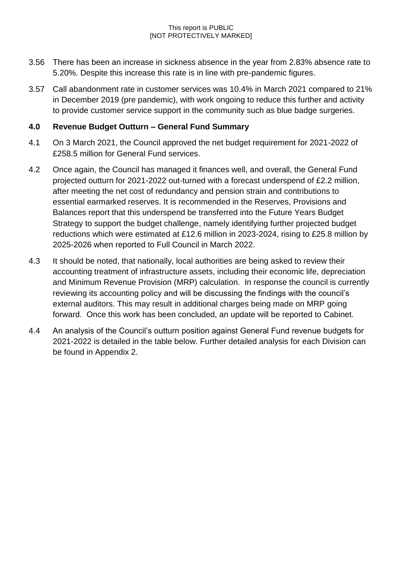- 3.56 There has been an increase in sickness absence in the year from 2.83% absence rate to 5.20%. Despite this increase this rate is in line with pre-pandemic figures.
- 3.57 Call abandonment rate in customer services was 10.4% in March 2021 compared to 21% in December 2019 (pre pandemic), with work ongoing to reduce this further and activity to provide customer service support in the community such as blue badge surgeries.

## **4.0 Revenue Budget Outturn – General Fund Summary**

- 4.1 On 3 March 2021, the Council approved the net budget requirement for 2021-2022 of £258.5 million for General Fund services.
- 4.2 Once again, the Council has managed it finances well, and overall, the General Fund projected outturn for 2021-2022 out-turned with a forecast underspend of £2.2 million, after meeting the net cost of redundancy and pension strain and contributions to essential earmarked reserves. It is recommended in the Reserves, Provisions and Balances report that this underspend be transferred into the Future Years Budget Strategy to support the budget challenge, namely identifying further projected budget reductions which were estimated at £12.6 million in 2023-2024, rising to £25.8 million by 2025-2026 when reported to Full Council in March 2022.
- 4.3 It should be noted, that nationally, local authorities are being asked to review their accounting treatment of infrastructure assets, including their economic life, depreciation and Minimum Revenue Provision (MRP) calculation. In response the council is currently reviewing its accounting policy and will be discussing the findings with the council's external auditors. This may result in additional charges being made on MRP going forward. Once this work has been concluded, an update will be reported to Cabinet.
- 4.4 An analysis of the Council's outturn position against General Fund revenue budgets for 2021-2022 is detailed in the table below. Further detailed analysis for each Division can be found in Appendix 2.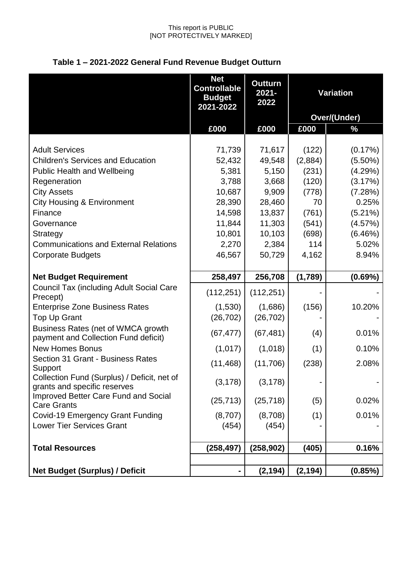|                                                                             | <b>Net</b><br><b>Controllable</b><br><b>Budget</b><br>2021-2022 | <b>Outturn</b><br>$2021 -$<br>2022 | <b>Variation</b> |                     |
|-----------------------------------------------------------------------------|-----------------------------------------------------------------|------------------------------------|------------------|---------------------|
|                                                                             |                                                                 |                                    |                  | <b>Over/(Under)</b> |
|                                                                             | £000                                                            | £000                               | £000             | $\frac{0}{2}$       |
|                                                                             |                                                                 |                                    |                  |                     |
| <b>Adult Services</b>                                                       | 71,739                                                          | 71,617                             | (122)            | (0.17%)             |
| <b>Children's Services and Education</b>                                    | 52,432                                                          | 49,548                             | (2,884)          | $(5.50\%)$          |
| <b>Public Health and Wellbeing</b>                                          | 5,381                                                           | 5,150                              | (231)            | (4.29%)             |
| Regeneration                                                                | 3,788                                                           | 3,668                              | (120)            | (3.17%)             |
| <b>City Assets</b>                                                          | 10,687                                                          | 9,909                              | (778)            | (7.28%)             |
| <b>City Housing &amp; Environment</b>                                       | 28,390                                                          | 28,460                             | 70               | 0.25%               |
| Finance                                                                     | 14,598                                                          | 13,837                             | (761)            | $(5.21\%)$          |
| Governance                                                                  | 11,844                                                          | 11,303                             | (541)            | (4.57%)             |
| Strategy                                                                    | 10,801                                                          | 10,103                             | (698)            | (6.46%)             |
| <b>Communications and External Relations</b>                                | 2,270                                                           | 2,384                              | 114              | 5.02%               |
| <b>Corporate Budgets</b>                                                    | 46,567                                                          | 50,729                             | 4,162            | 8.94%               |
|                                                                             |                                                                 |                                    |                  |                     |
| <b>Net Budget Requirement</b>                                               | 258,497                                                         | 256,708                            | (1,789)          | (0.69%)             |
| <b>Council Tax (including Adult Social Care</b><br>Precept)                 | (112, 251)                                                      | (112, 251)                         |                  |                     |
| <b>Enterprise Zone Business Rates</b>                                       | (1,530)                                                         | (1,686)                            | (156)            | 10.20%              |
| <b>Top Up Grant</b>                                                         | (26, 702)                                                       | (26, 702)                          |                  |                     |
| Business Rates (net of WMCA growth<br>payment and Collection Fund deficit)  | (67, 477)                                                       | (67, 481)                          | (4)              | 0.01%               |
| <b>New Homes Bonus</b>                                                      | (1,017)                                                         | (1,018)                            | (1)              | 0.10%               |
| Section 31 Grant - Business Rates                                           | (11, 468)                                                       | (11,706)                           | (238)            | 2.08%               |
| Support                                                                     |                                                                 |                                    |                  |                     |
| Collection Fund (Surplus) / Deficit, net of<br>grants and specific reserves | (3, 178)                                                        | (3, 178)                           |                  |                     |
| Improved Better Care Fund and Social                                        | (25, 713)                                                       | (25, 718)                          | (5)              | 0.02%               |
| <b>Care Grants</b>                                                          |                                                                 |                                    |                  |                     |
| <b>Covid-19 Emergency Grant Funding</b>                                     | (8,707)                                                         | (8,708)                            | (1)              | 0.01%               |
| <b>Lower Tier Services Grant</b>                                            | (454)                                                           | (454)                              |                  |                     |
| <b>Total Resources</b>                                                      | (258, 497)                                                      | (258, 902)                         | (405)            | 0.16%               |
|                                                                             |                                                                 |                                    |                  |                     |
| <b>Net Budget (Surplus) / Deficit</b>                                       | -                                                               | (2, 194)                           | (2, 194)         | (0.85%)             |

# **Table 1 – 2021-2022 General Fund Revenue Budget Outturn**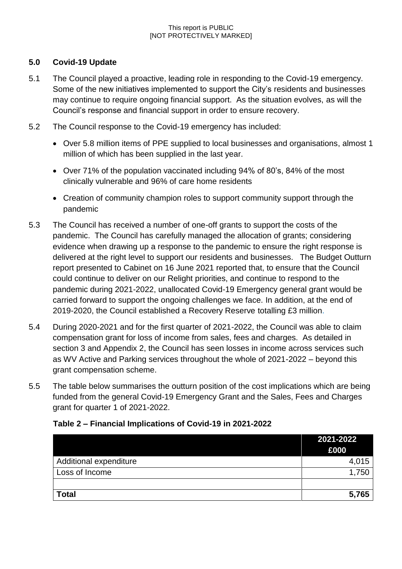## **5.0 Covid-19 Update**

- 5.1 The Council played a proactive, leading role in responding to the Covid-19 emergency. Some of the new initiatives implemented to support the City's residents and businesses may continue to require ongoing financial support. As the situation evolves, as will the Council's response and financial support in order to ensure recovery.
- 5.2 The Council response to the Covid-19 emergency has included:
	- Over 5.8 million items of PPE supplied to local businesses and organisations, almost 1 million of which has been supplied in the last year.
	- Over 71% of the population vaccinated including 94% of 80's, 84% of the most clinically vulnerable and 96% of care home residents
	- Creation of community champion roles to support community support through the pandemic
- 5.3 The Council has received a number of one-off grants to support the costs of the pandemic. The Council has carefully managed the allocation of grants; considering evidence when drawing up a response to the pandemic to ensure the right response is delivered at the right level to support our residents and businesses. The Budget Outturn report presented to Cabinet on 16 June 2021 reported that, to ensure that the Council could continue to deliver on our Relight priorities, and continue to respond to the pandemic during 2021-2022, unallocated Covid-19 Emergency general grant would be carried forward to support the ongoing challenges we face. In addition, at the end of 2019-2020, the Council established a Recovery Reserve totalling £3 million.
- 5.4 During 2020-2021 and for the first quarter of 2021-2022, the Council was able to claim compensation grant for loss of income from sales, fees and charges. As detailed in section 3 and Appendix 2, the Council has seen losses in income across services such as WV Active and Parking services throughout the whole of 2021-2022 – beyond this grant compensation scheme.
- 5.5 The table below summarises the outturn position of the cost implications which are being funded from the general Covid-19 Emergency Grant and the Sales, Fees and Charges grant for quarter 1 of 2021-2022.

|                        | 2021-2022<br>£000 |
|------------------------|-------------------|
| Additional expenditure | 4,015             |
| Loss of Income         | 1,750             |
|                        |                   |
| <b>Total</b>           | 5,765             |

## **Table 2 – Financial Implications of Covid-19 in 2021-2022**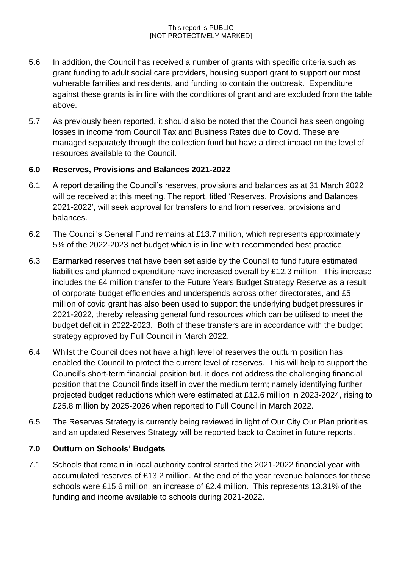- 5.6 In addition, the Council has received a number of grants with specific criteria such as grant funding to adult social care providers, housing support grant to support our most vulnerable families and residents, and funding to contain the outbreak. Expenditure against these grants is in line with the conditions of grant and are excluded from the table above.
- 5.7 As previously been reported, it should also be noted that the Council has seen ongoing losses in income from Council Tax and Business Rates due to Covid. These are managed separately through the collection fund but have a direct impact on the level of resources available to the Council.

### **6.0 Reserves, Provisions and Balances 2021-2022**

- 6.1 A report detailing the Council's reserves, provisions and balances as at 31 March 2022 will be received at this meeting. The report, titled 'Reserves, Provisions and Balances 2021-2022', will seek approval for transfers to and from reserves, provisions and balances.
- 6.2 The Council's General Fund remains at £13.7 million, which represents approximately 5% of the 2022-2023 net budget which is in line with recommended best practice.
- 6.3 Earmarked reserves that have been set aside by the Council to fund future estimated liabilities and planned expenditure have increased overall by £12.3 million. This increase includes the £4 million transfer to the Future Years Budget Strategy Reserve as a result of corporate budget efficiencies and underspends across other directorates, and £5 million of covid grant has also been used to support the underlying budget pressures in 2021-2022, thereby releasing general fund resources which can be utilised to meet the budget deficit in 2022-2023. Both of these transfers are in accordance with the budget strategy approved by Full Council in March 2022.
- 6.4 Whilst the Council does not have a high level of reserves the outturn position has enabled the Council to protect the current level of reserves. This will help to support the Council's short-term financial position but, it does not address the challenging financial position that the Council finds itself in over the medium term; namely identifying further projected budget reductions which were estimated at £12.6 million in 2023-2024, rising to £25.8 million by 2025-2026 when reported to Full Council in March 2022.
- 6.5 The Reserves Strategy is currently being reviewed in light of Our City Our Plan priorities and an updated Reserves Strategy will be reported back to Cabinet in future reports.

## **7.0 Outturn on Schools' Budgets**

7.1 Schools that remain in local authority control started the 2021-2022 financial year with accumulated reserves of £13.2 million. At the end of the year revenue balances for these schools were £15.6 million, an increase of £2.4 million. This represents 13.31% of the funding and income available to schools during 2021-2022.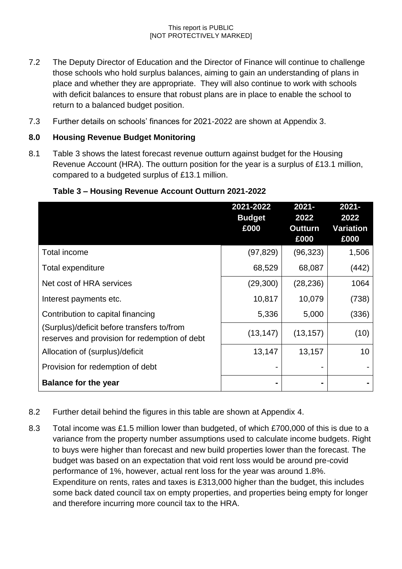- 7.2 The Deputy Director of Education and the Director of Finance will continue to challenge those schools who hold surplus balances, aiming to gain an understanding of plans in place and whether they are appropriate. They will also continue to work with schools with deficit balances to ensure that robust plans are in place to enable the school to return to a balanced budget position.
- 7.3 Further details on schools' finances for 2021-2022 are shown at Appendix 3.

## **8.0 Housing Revenue Budget Monitoring**

8.1 Table 3 shows the latest forecast revenue outturn against budget for the Housing Revenue Account (HRA). The outturn position for the year is a surplus of £13.1 million, compared to a budgeted surplus of £13.1 million.

|                                                                                             | 2021-2022<br><b>Budget</b><br>£000 | $2021 -$<br>2022<br><b>Outturn</b><br>£000 | $2021 -$<br>2022<br>Variation<br>£000 |
|---------------------------------------------------------------------------------------------|------------------------------------|--------------------------------------------|---------------------------------------|
| <b>Total income</b>                                                                         | (97, 829)                          | (96, 323)                                  | 1,506                                 |
| Total expenditure                                                                           | 68,529                             | 68,087                                     | (442)                                 |
| Net cost of HRA services                                                                    | (29, 300)                          | (28, 236)                                  | 1064                                  |
| Interest payments etc.                                                                      | 10,817                             | 10,079                                     | (738)                                 |
| Contribution to capital financing                                                           | 5,336                              | 5,000                                      | (336)                                 |
| (Surplus)/deficit before transfers to/from<br>reserves and provision for redemption of debt | (13, 147)                          | (13, 157)                                  | (10)                                  |
| Allocation of (surplus)/deficit                                                             | 13,147                             | 13,157                                     | 10 <sup>°</sup>                       |
| Provision for redemption of debt                                                            |                                    |                                            |                                       |
| <b>Balance for the year</b>                                                                 |                                    |                                            |                                       |

### **Table 3 – Housing Revenue Account Outturn 2021-2022**

- 8.2 Further detail behind the figures in this table are shown at Appendix 4.
- 8.3 Total income was £1.5 million lower than budgeted, of which £700,000 of this is due to a variance from the property number assumptions used to calculate income budgets. Right to buys were higher than forecast and new build properties lower than the forecast. The budget was based on an expectation that void rent loss would be around pre-covid performance of 1%, however, actual rent loss for the year was around 1.8%. Expenditure on rents, rates and taxes is £313,000 higher than the budget, this includes some back dated council tax on empty properties, and properties being empty for longer and therefore incurring more council tax to the HRA.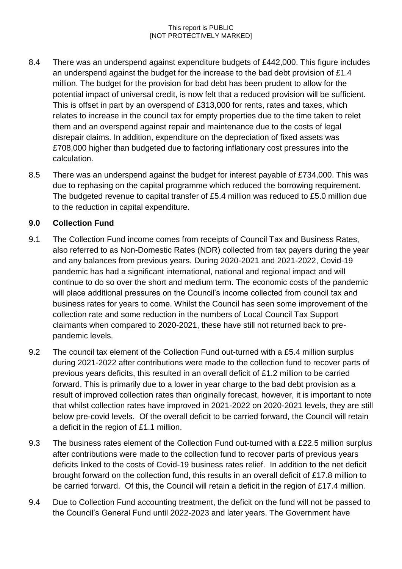- 8.4 There was an underspend against expenditure budgets of £442,000. This figure includes an underspend against the budget for the increase to the bad debt provision of £1.4 million. The budget for the provision for bad debt has been prudent to allow for the potential impact of universal credit, is now felt that a reduced provision will be sufficient. This is offset in part by an overspend of £313,000 for rents, rates and taxes, which relates to increase in the council tax for empty properties due to the time taken to relet them and an overspend against repair and maintenance due to the costs of legal disrepair claims. In addition, expenditure on the depreciation of fixed assets was £708,000 higher than budgeted due to factoring inflationary cost pressures into the calculation.
- 8.5 There was an underspend against the budget for interest payable of £734,000. This was due to rephasing on the capital programme which reduced the borrowing requirement. The budgeted revenue to capital transfer of £5.4 million was reduced to £5.0 million due to the reduction in capital expenditure.

## **9.0 Collection Fund**

- 9.1 The Collection Fund income comes from receipts of Council Tax and Business Rates, also referred to as Non-Domestic Rates (NDR) collected from tax payers during the year and any balances from previous years. During 2020-2021 and 2021-2022, Covid-19 pandemic has had a significant international, national and regional impact and will continue to do so over the short and medium term. The economic costs of the pandemic will place additional pressures on the Council's income collected from council tax and business rates for years to come. Whilst the Council has seen some improvement of the collection rate and some reduction in the numbers of Local Council Tax Support claimants when compared to 2020-2021, these have still not returned back to prepandemic levels.
- 9.2 The council tax element of the Collection Fund out-turned with a £5.4 million surplus during 2021-2022 after contributions were made to the collection fund to recover parts of previous years deficits, this resulted in an overall deficit of £1.2 million to be carried forward. This is primarily due to a lower in year charge to the bad debt provision as a result of improved collection rates than originally forecast, however, it is important to note that whilst collection rates have improved in 2021-2022 on 2020-2021 levels, they are still below pre-covid levels. Of the overall deficit to be carried forward, the Council will retain a deficit in the region of £1.1 million.
- 9.3 The business rates element of the Collection Fund out-turned with a £22.5 million surplus after contributions were made to the collection fund to recover parts of previous years deficits linked to the costs of Covid-19 business rates relief. In addition to the net deficit brought forward on the collection fund, this results in an overall deficit of £17.8 million to be carried forward. Of this, the Council will retain a deficit in the region of £17.4 million.
- 9.4 Due to Collection Fund accounting treatment, the deficit on the fund will not be passed to the Council's General Fund until 2022-2023 and later years. The Government have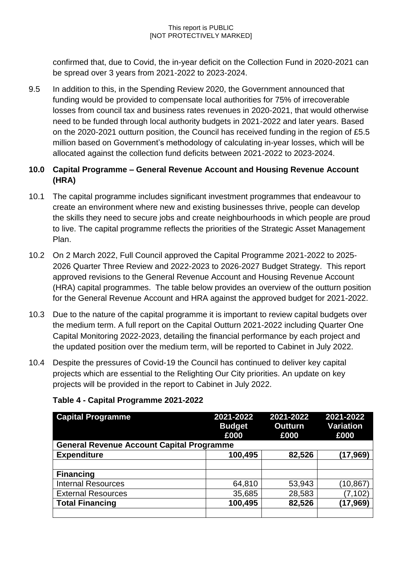confirmed that, due to Covid, the in-year deficit on the Collection Fund in 2020-2021 can be spread over 3 years from 2021-2022 to 2023-2024.

9.5 In addition to this, in the Spending Review 2020, the Government announced that funding would be provided to compensate local authorities for 75% of irrecoverable losses from council tax and business rates revenues in 2020-2021, that would otherwise need to be funded through local authority budgets in 2021-2022 and later years. Based on the 2020-2021 outturn position, the Council has received funding in the region of £5.5 million based on Government's methodology of calculating in-year losses, which will be allocated against the collection fund deficits between 2021-2022 to 2023-2024.

## **10.0 Capital Programme – General Revenue Account and Housing Revenue Account (HRA)**

- 10.1 The capital programme includes significant investment programmes that endeavour to create an environment where new and existing businesses thrive, people can develop the skills they need to secure jobs and create neighbourhoods in which people are proud to live. The capital programme reflects the priorities of the Strategic Asset Management Plan.
- 10.2 On 2 March 2022, Full Council approved the Capital Programme 2021-2022 to 2025- 2026 Quarter Three Review and 2022-2023 to 2026-2027 Budget Strategy. This report approved revisions to the General Revenue Account and Housing Revenue Account (HRA) capital programmes. The table below provides an overview of the outturn position for the General Revenue Account and HRA against the approved budget for 2021-2022.
- 10.3 Due to the nature of the capital programme it is important to review capital budgets over the medium term. A full report on the Capital Outturn 2021-2022 including Quarter One Capital Monitoring 2022-2023, detailing the financial performance by each project and the updated position over the medium term, will be reported to Cabinet in July 2022.
- 10.4 Despite the pressures of Covid-19 the Council has continued to deliver key capital projects which are essential to the Relighting Our City priorities. An update on key projects will be provided in the report to Cabinet in July 2022.

| <b>Capital Programme</b>                         | 2021-2022<br><b>Budget</b><br>£000 | 2021-2022<br><b>Outturn</b><br>£000 | 2021-2022<br><b>Variation</b><br>£000 |
|--------------------------------------------------|------------------------------------|-------------------------------------|---------------------------------------|
| <b>General Revenue Account Capital Programme</b> |                                    |                                     |                                       |
| <b>Expenditure</b>                               | 100,495                            | 82,526                              | (17, 969)                             |
|                                                  |                                    |                                     |                                       |
| <b>Financing</b>                                 |                                    |                                     |                                       |
| <b>Internal Resources</b>                        | 64,810                             | 53,943                              | (10,867                               |
| <b>External Resources</b>                        | 35,685                             | 28,583                              | (7, 102)                              |
| <b>Total Financing</b>                           | 100,495                            | 82,526                              | (17,969)                              |
|                                                  |                                    |                                     |                                       |

### **Table 4 - Capital Programme 2021-2022**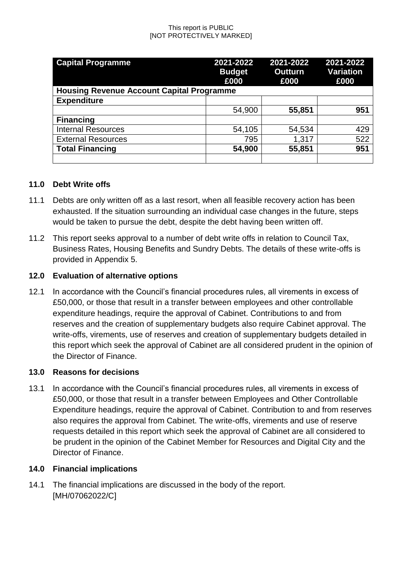| <b>Capital Programme</b>                         | 2021-2022<br><b>Budget</b><br>£000 | 2021-2022<br><b>Outturn</b><br>£000 | 2021-2022<br><b>Variation</b><br>£000 |  |  |
|--------------------------------------------------|------------------------------------|-------------------------------------|---------------------------------------|--|--|
| <b>Housing Revenue Account Capital Programme</b> |                                    |                                     |                                       |  |  |
| <b>Expenditure</b>                               |                                    |                                     |                                       |  |  |
|                                                  | 54,900                             | 55,851                              | 951                                   |  |  |
| <b>Financing</b>                                 |                                    |                                     |                                       |  |  |
| <b>Internal Resources</b>                        | 54,105                             | 54,534                              | 429                                   |  |  |
| <b>External Resources</b>                        | 795                                | 1,317                               | 522                                   |  |  |
| <b>Total Financing</b>                           | 54,900                             | 55,851                              | 951                                   |  |  |
|                                                  |                                    |                                     |                                       |  |  |

### **11.0 Debt Write offs**

- 11.1 Debts are only written off as a last resort, when all feasible recovery action has been exhausted. If the situation surrounding an individual case changes in the future, steps would be taken to pursue the debt, despite the debt having been written off.
- 11.2 This report seeks approval to a number of debt write offs in relation to Council Tax, Business Rates, Housing Benefits and Sundry Debts. The details of these write-offs is provided in Appendix 5.

### **12.0 Evaluation of alternative options**

12.1 In accordance with the Council's financial procedures rules, all virements in excess of £50,000, or those that result in a transfer between employees and other controllable expenditure headings, require the approval of Cabinet. Contributions to and from reserves and the creation of supplementary budgets also require Cabinet approval. The write-offs, virements, use of reserves and creation of supplementary budgets detailed in this report which seek the approval of Cabinet are all considered prudent in the opinion of the Director of Finance.

### **13.0 Reasons for decisions**

13.1 In accordance with the Council's financial procedures rules, all virements in excess of £50,000, or those that result in a transfer between Employees and Other Controllable Expenditure headings, require the approval of Cabinet. Contribution to and from reserves also requires the approval from Cabinet. The write-offs, virements and use of reserve requests detailed in this report which seek the approval of Cabinet are all considered to be prudent in the opinion of the Cabinet Member for Resources and Digital City and the Director of Finance.

### **14.0 Financial implications**

14.1 The financial implications are discussed in the body of the report. [MH/07062022/C]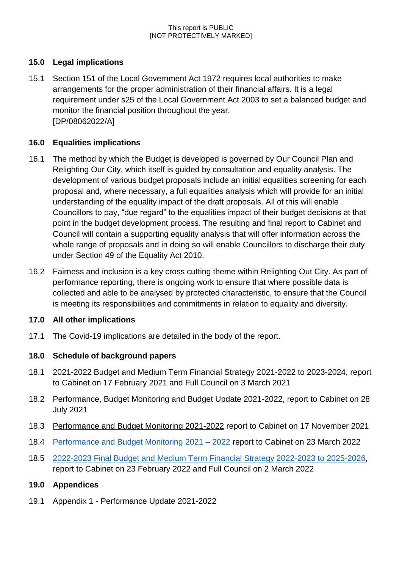# **15.0 Legal implications**

15.1 Section 151 of the Local Government Act 1972 requires local authorities to make arrangements for the proper administration of their financial affairs. It is a legal requirement under s25 of the Local Government Act 2003 to set a balanced budget and monitor the financial position throughout the year. [DP/08062022/A]

## **16.0 Equalities implications**

- 16.1 The method by which the Budget is developed is governed by Our Council Plan and Relighting Our City, which itself is guided by consultation and equality analysis. The development of various budget proposals include an initial equalities screening for each proposal and, where necessary, a full equalities analysis which will provide for an initial understanding of the equality impact of the draft proposals. All of this will enable Councillors to pay, "due regard" to the equalities impact of their budget decisions at that point in the budget development process. The resulting and final report to Cabinet and Council will contain a supporting equality analysis that will offer information across the whole range of proposals and in doing so will enable Councillors to discharge their duty under Section 49 of the Equality Act 2010.
- 16.2 Fairness and inclusion is a key cross cutting theme within Relighting Out City. As part of performance reporting, there is ongoing work to ensure that where possible data is collected and able to be analysed by protected characteristic, to ensure that the Council is meeting its responsibilities and commitments in relation to equality and diversity.

## **17.0 All other implications**

17.1 The Covid-19 implications are detailed in the body of the report.

# **18.0 Schedule of background papers**

- 18.1 [2021-2022 Budget and Medium Term Financial Strategy 2021-2022 to 2023-2024,](https://wolverhampton.moderngov.co.uk/ieListDocuments.aspx?CId=129&MId=15294&Ver=4) report to Cabinet on 17 February 2021 and Full Council on 3 March 2021
- 18.2 [Performance, Budget Monitoring and Budget Update 2021-2022,](https://wolverhampton.moderngov.co.uk/ieListDocuments.aspx?CId=130&MId=16149&Ver=4) report to Cabinet on 28 July 2021
- 18.3 Performance [and Budget Monitoring 2](https://wolverhampton.moderngov.co.uk/ieListDocuments.aspx?CId=130&MId=16149&Ver=4)021-2022 report to Cabinet on 17 November 2021
- 18.4 [Performance and Budget Monitoring 2021 –](https://wolverhampton.moderngov.co.uk/ieListDocuments.aspx?CId=130&MId=16156&Ver=4) 2022 report to Cabinet on 23 March 2022
- 18.5 [2022-2023 Final Budget and Medium Term Financial Strategy 2022-2023 to 2025-2026,](https://wolverhampton.moderngov.co.uk/ieListDocuments.aspx?CId=129&MId=16314&Ver=4) report to Cabinet on 23 February 2022 and Full Council on 2 March 2022

## **19.0 Appendices**

19.1 Appendix 1 - Performance Update 2021-2022